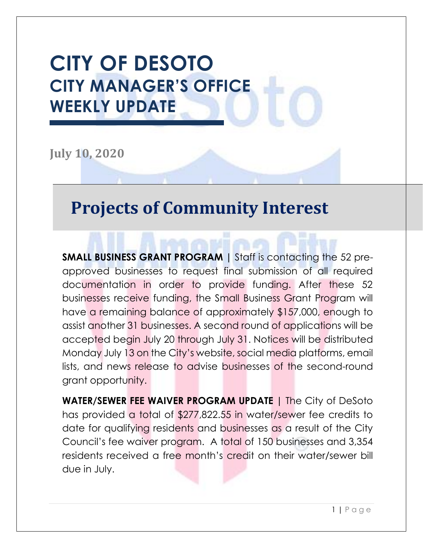## **CITY OF DESOTO CITY MANAGER'S OFFICE WEEKLY UPDATE**

**July 10, 2020**

#### **Projects of Community Interest**

**SMALL BUSINESS GRANT PROGRAM |** Staff is contacting the 52 preapproved businesses to request final submission of all required documentation in order to provide funding. After these 52 businesses receive funding, the Small Business Grant Program will have a remaining balance of approximately \$157,000, enough to assist another 31 businesses. A second round of applications will be accepted begin July 20 through July 31. Notices will be distributed Monday July 13 on the City's website, social media platforms, email lists, and news release to advise businesses of the second-round grant opportunity.

**WATER/SEWER FEE WAIVER PROGRAM UPDATE |** The City of DeSoto has provided a total of \$277,822.55 in water/sewer fee credits to date for qualifying residents and businesses as a result of the City Council's fee waiver program. A total of 150 businesses and 3,354 residents received a free month's credit on their water/sewer bill due in July.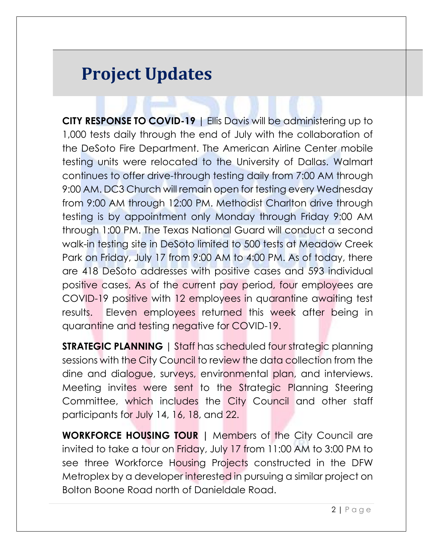### **Project Updates**

**CITY RESPONSE TO COVID-19** | Ellis Davis will be administering up to 1,000 tests daily through the end of July with the collaboration of the DeSoto Fire Department. The American Airline Center mobile testing units were relocated to the University of Dallas. Walmart continues to offer drive-through testing daily from 7:00 AM through 9:00 AM. DC3 Church will remain open for testing every Wednesday from 9:00 AM through 12:00 PM. Methodist Charlton drive through testing is by appointment only Monday through Friday 9:00 AM through 1:00 PM. The Texas National Guard will conduct a second walk-in testing site in DeSoto limited to 500 tests at Meadow Creek Park on Friday, July 17 from 9:00 AM to 4:00 PM. As of today, there are 418 DeSoto addresses with positive cases and 593 individual positive cases. As of the current pay period, four employees are COVID-19 positive with 12 employees in quarantine awaiting test results. Eleven employees returned this week after being in quarantine and testing negative for COVID-19.

**STRATEGIC PLANNING** | Staff has scheduled four strategic planning sessions with the City Council to review the data collection from the dine and dialogue, surveys, environmental plan, and interviews. Meeting invites were sent to the Strategic Planning Steering Committee, which includes the City Council and other staff participants for July 14, 16, 18, and 22.

**WORKFORCE HOUSING TOUR |** Members of the City Council are invited to take a tour on Friday, July 17 from 11:00 AM to 3:00 PM to see three Workforce Housing Projects constructed in the DFW Metroplex by a developer interested in pursuing a similar project on Bolton Boone Road north of Danieldale Road.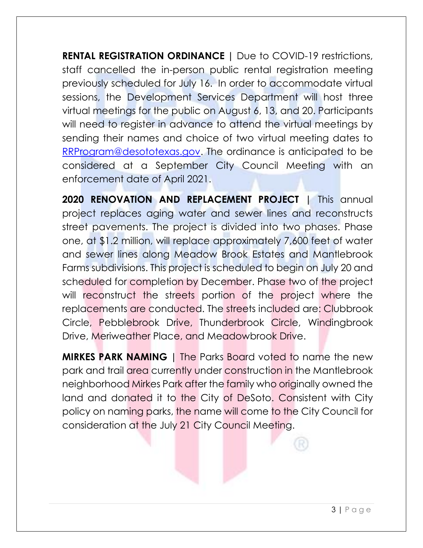**RENTAL REGISTRATION ORDINANCE |** Due to COVID-19 restrictions, staff cancelled the in-person public rental registration meeting previously scheduled for July 16. In order to accommodate virtual sessions, the Development Services Department will host three virtual meetings for the public on August 6, 13, and 20. Participants will need to register in advance to attend the virtual meetings by sending their names and choice of two virtual meeting dates to [RRProgram@desototexas.gov.](mailto:RRProgram@desototexas.gov) The ordinance is anticipated to be considered at a September City Council Meeting with an enforcement date of April 2021.

**2020 RENOVATION AND REPLACEMENT PROJECT |** This annual project replaces aging water and sewer lines and reconstructs street pavements. The project is divided into two phases. Phase one, at \$1.2 million, will replace approximately 7,600 feet of water and sewer lines along Meadow Brook Estates and Mantlebrook Farms subdivisions. This project is scheduled to begin on July 20 and scheduled for completion by December. Phase two of the project will reconstruct the streets portion of the project where the replacements are conducted. The streets included are: Clubbrook Circle, Pebblebrook Drive, Thunderbrook Circle, Windingbrook Drive, Meriweather Place, and Meadowbrook Drive.

**MIRKES PARK NAMING |** The Parks Board voted to name the new park and trail area currently under construction in the Mantlebrook neighborhood Mirkes Park after the family who originally owned the land and donated it to the City of DeSoto. Consistent with City policy on naming parks, the name will come to the City Council for consideration at the July 21 City Council Meeting.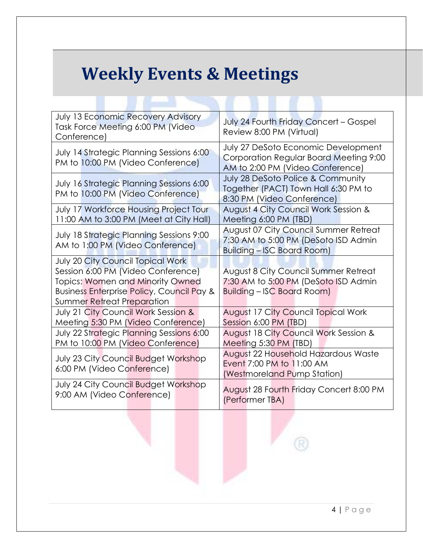### **Weekly Events & Meetings**

**CONTROL** 

| July 13 Economic Recovery Advisory<br>Task Force Meeting 6:00 PM (Video<br>Conference)                                                                                                                          | July 24 Fourth Friday Concert - Gospel<br>Review 8:00 PM (Virtual)                                                        |  |
|-----------------------------------------------------------------------------------------------------------------------------------------------------------------------------------------------------------------|---------------------------------------------------------------------------------------------------------------------------|--|
| <b>July 14 Strategic Planning Sessions 6:00</b><br>PM to 10:00 PM (Video Conference)                                                                                                                            | July 27 DeSoto Economic Development<br>Corporation Regular Board Meeting 9:00<br>AM to 2:00 PM (Video Conference)         |  |
| July 16 Strategic Planning Sessions 6:00<br>PM to 10:00 PM (Video Conference)                                                                                                                                   | July 28 DeSoto Police & Community<br>Together (PACT) Town Hall 6:30 PM to<br>8:30 PM (Video Conference)                   |  |
| July 17 Workforce Housing Project Tour<br>11:00 AM to 3:00 PM (Meet at City Hall)                                                                                                                               | August 4 City Council Work Session &<br>Meeting 6:00 PM (TBD)                                                             |  |
| <b>July 18 Strategic Planning Sessions 9:00</b><br>AM to 1:00 PM (Video Conference)                                                                                                                             | <b>August 07 City Council Summer Retreat</b><br>7:30 AM to 5:00 PM (DeSoto ISD Admin<br><b>Building - ISC Board Room)</b> |  |
| <b>July 20 City Council Topical Work</b><br>Session 6:00 PM (Video Conference)<br><b>Topics: Women and Minority Owned</b><br><b>Business Enterprise Policy, Council Pay &amp;</b><br>Summer Retreat Preparation | <b>August 8 City Council Summer Retreat</b><br>7:30 AM to 5:00 PM (DeSoto ISD Admin<br><b>Building - ISC Board Room)</b>  |  |
| July 21 City Council Work Session &<br>Meeting 5:30 PM (Video Conference)                                                                                                                                       | <b>August 17 City Council Topical Work</b><br>Session 6:00 PM (TBD)                                                       |  |
| <b>July 22 Strategic Planning Sessions 6:00</b><br>PM to 10:00 PM (Video Conference)                                                                                                                            | August 18 City Council Work Session &<br>Meeting 5:30 PM (TBD)                                                            |  |
| <b>July 23 City Council Budget Workshop</b><br>6:00 PM (Video Conference)                                                                                                                                       | August 22 Household Hazardous Waste<br>Event 7:00 PM to 11:00 AM<br>(Westmoreland Pump Station)                           |  |
| July 24 City Council Budget Workshop<br>9:00 AM (Video Conference)                                                                                                                                              | August 28 Fourth Friday Concert 8:00 PM<br>(Performer TBA)                                                                |  |

R